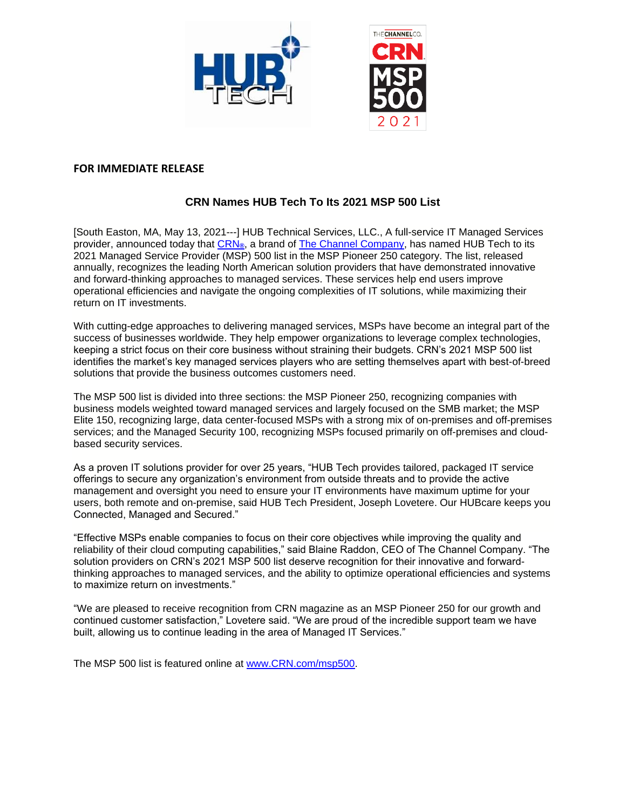

## **FOR IMMEDIATE RELEASE**

## **CRN Names HUB Tech To Its 2021 MSP 500 List**

[South Easton, MA, May 13, 2021---] HUB Technical Services, LLC., A full-service IT Managed Services provider, announced today that [CRN](http://www.crn.com/)**®**, a brand of [The Channel Company,](http://www.thechannelco.com/) has named HUB Tech to its 2021 Managed Service Provider (MSP) 500 list in the MSP Pioneer 250 category. The list, released annually, recognizes the leading North American solution providers that have demonstrated innovative and forward-thinking approaches to managed services. These services help end users improve operational efficiencies and navigate the ongoing complexities of IT solutions, while maximizing their return on IT investments.

With cutting-edge approaches to delivering managed services, MSPs have become an integral part of the success of businesses worldwide. They help empower organizations to leverage complex technologies, keeping a strict focus on their core business without straining their budgets. CRN's 2021 MSP 500 list identifies the market's key managed services players who are setting themselves apart with best-of-breed solutions that provide the business outcomes customers need.

The MSP 500 list is divided into three sections: the MSP Pioneer 250, recognizing companies with business models weighted toward managed services and largely focused on the SMB market; the MSP Elite 150, recognizing large, data center-focused MSPs with a strong mix of on-premises and off-premises services; and the Managed Security 100, recognizing MSPs focused primarily on off-premises and cloudbased security services.

As a proven IT solutions provider for over 25 years, "HUB Tech provides tailored, packaged IT service offerings to secure any organization's environment from outside threats and to provide the active management and oversight you need to ensure your IT environments have maximum uptime for your users, both remote and on-premise, said HUB Tech President, Joseph Lovetere. Our HUBcare keeps you Connected, Managed and Secured."

"Effective MSPs enable companies to focus on their core objectives while improving the quality and reliability of their cloud computing capabilities," said Blaine Raddon, CEO of The Channel Company. "The solution providers on CRN's 2021 MSP 500 list deserve recognition for their innovative and forwardthinking approaches to managed services, and the ability to optimize operational efficiencies and systems to maximize return on investments."

"We are pleased to receive recognition from CRN magazine as an MSP Pioneer 250 for our growth and continued customer satisfaction," Lovetere said. "We are proud of the incredible support team we have built, allowing us to continue leading in the area of Managed IT Services."

The MSP 500 list is featured online at [www.CRN.com/msp500.](http://www.crn.com/msp500)